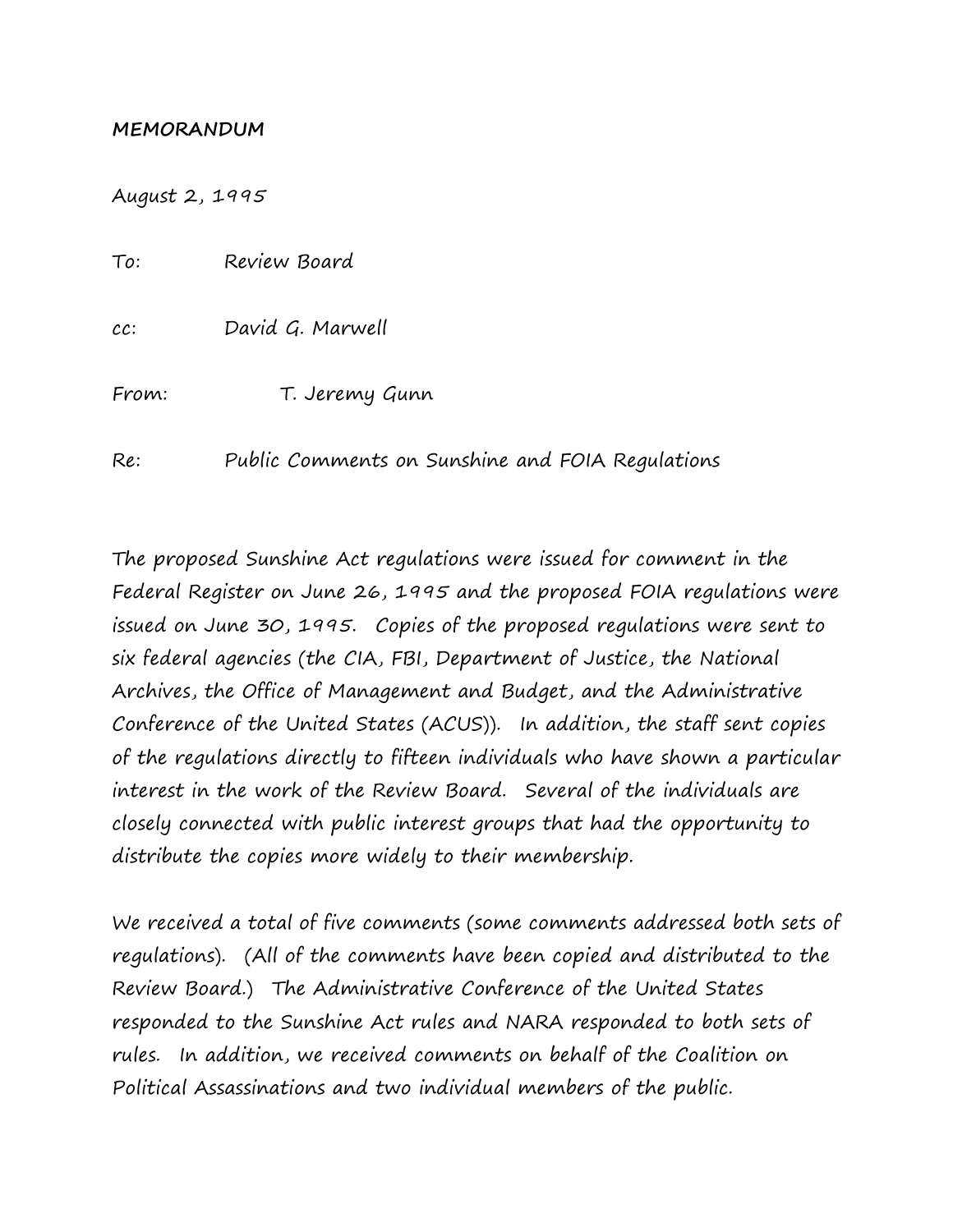## **MEMORANDUM**

August 2, 1995

To: Review Board cc: David G. Marwell From: T. Jeremy Gunn Re: Public Comments on Sunshine and FOIA Regulations

The proposed Sunshine Act regulations were issued for comment in the Federal Register on June 26, 1995 and the proposed FOIA regulations were issued on June 30, 1995. Copies of the proposed regulations were sent to six federal agencies (the CIA, FBI, Department of Justice, the National Archives, the Office of Management and Budget, and the Administrative Conference of the United States (ACUS)). In addition, the staff sent copies of the regulations directly to fifteen individuals who have shown a particular interest in the work of the Review Board. Several of the individuals are closely connected with public interest groups that had the opportunity to distribute the copies more widely to their membership.

We received a total of five comments (some comments addressed both sets of regulations). (All of the comments have been copied and distributed to the Review Board.) The Administrative Conference of the United States responded to the Sunshine Act rules and NARA responded to both sets of rules. In addition, we received comments on behalf of the Coalition on Political Assassinations and two individual members of the public.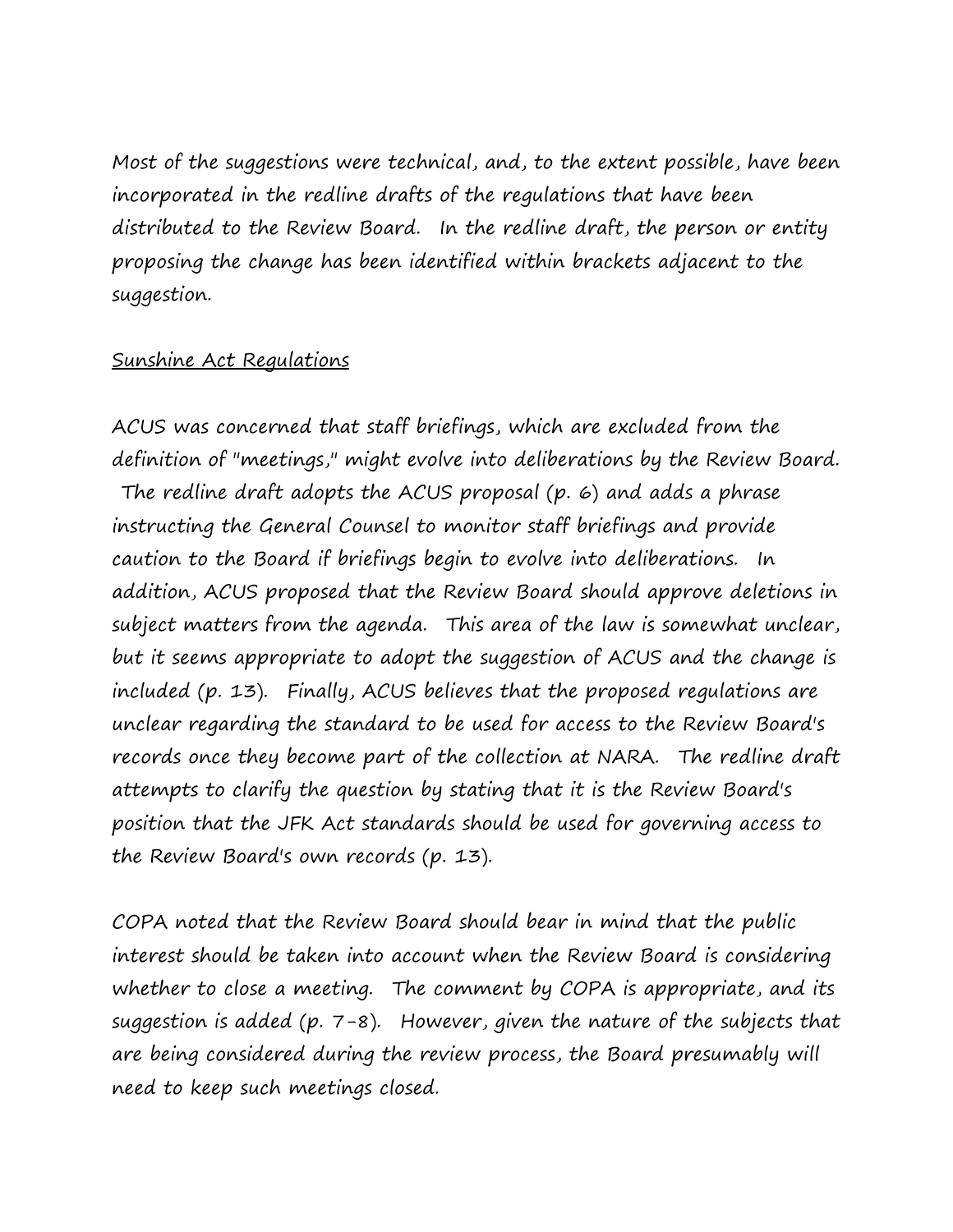Most of the suggestions were technical, and, to the extent possible, have been incorporated in the redline drafts of the regulations that have been distributed to the Review Board. In the redline draft, the person or entity proposing the change has been identified within brackets adjacent to the suggestion.

## Sunshine Act Regulations

ACUS was concerned that staff briefings, which are excluded from the definition of "meetings," might evolve into deliberations by the Review Board. The redline draft adopts the ACUS proposal (p. 6) and adds a phrase instructing the General Counsel to monitor staff briefings and provide caution to the Board if briefings begin to evolve into deliberations. In addition, ACUS proposed that the Review Board should approve deletions in subject matters from the agenda. This area of the law is somewhat unclear, but it seems appropriate to adopt the suggestion of ACUS and the change is included (p. 13). Finally, ACUS believes that the proposed regulations are unclear regarding the standard to be used for access to the Review Board's records once they become part of the collection at NARA. The redline draft attempts to clarify the question by stating that it is the Review Board's position that the JFK Act standards should be used for governing access to the Review Board's own records (p. 13).

COPA noted that the Review Board should bear in mind that the public interest should be taken into account when the Review Board is considering whether to close a meeting. The comment by COPA is appropriate, and its suggestion is added (p. 7-8). However, given the nature of the subjects that are being considered during the review process, the Board presumably will need to keep such meetings closed.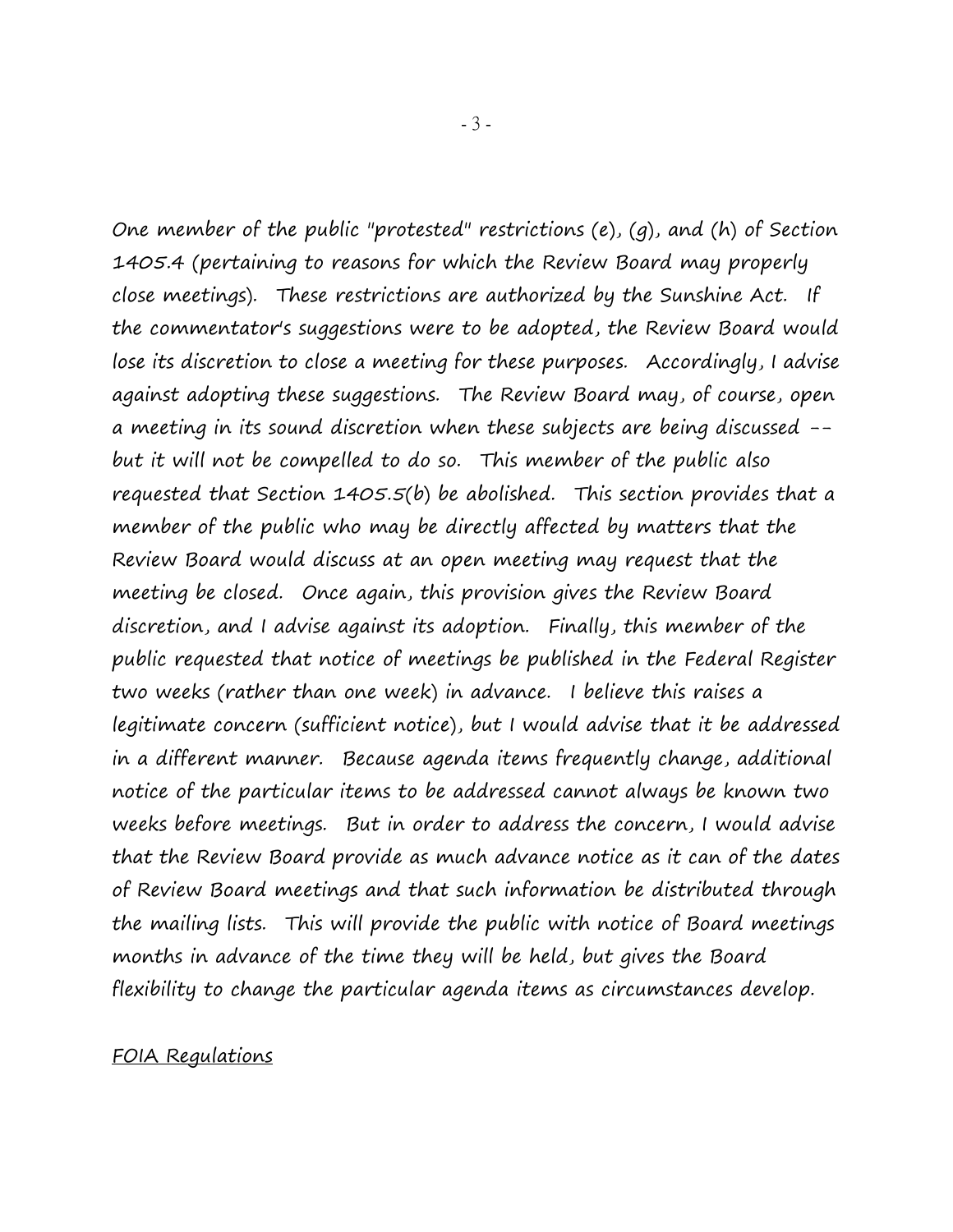One member of the public "protested" restrictions (e), (g), and (h) of Section 1405.4 (pertaining to reasons for which the Review Board may properly close meetings). These restrictions are authorized by the Sunshine Act. If the commentator's suggestions were to be adopted, the Review Board would lose its discretion to close a meeting for these purposes. Accordingly, I advise against adopting these suggestions. The Review Board may, of course, open a meeting in its sound discretion when these subjects are being discussed - but it will not be compelled to do so. This member of the public also requested that Section 1405.5(b) be abolished. This section provides that a member of the public who may be directly affected by matters that the Review Board would discuss at an open meeting may request that the meeting be closed. Once again, this provision gives the Review Board discretion, and I advise against its adoption. Finally, this member of the public requested that notice of meetings be published in the Federal Register two weeks (rather than one week) in advance. I believe this raises a legitimate concern (sufficient notice), but I would advise that it be addressed in a different manner. Because agenda items frequently change, additional notice of the particular items to be addressed cannot always be known two weeks before meetings. But in order to address the concern, I would advise that the Review Board provide as much advance notice as it can of the dates of Review Board meetings and that such information be distributed through the mailing lists. This will provide the public with notice of Board meetings months in advance of the time they will be held, but gives the Board flexibility to change the particular agenda items as circumstances develop.

## FOIA Regulations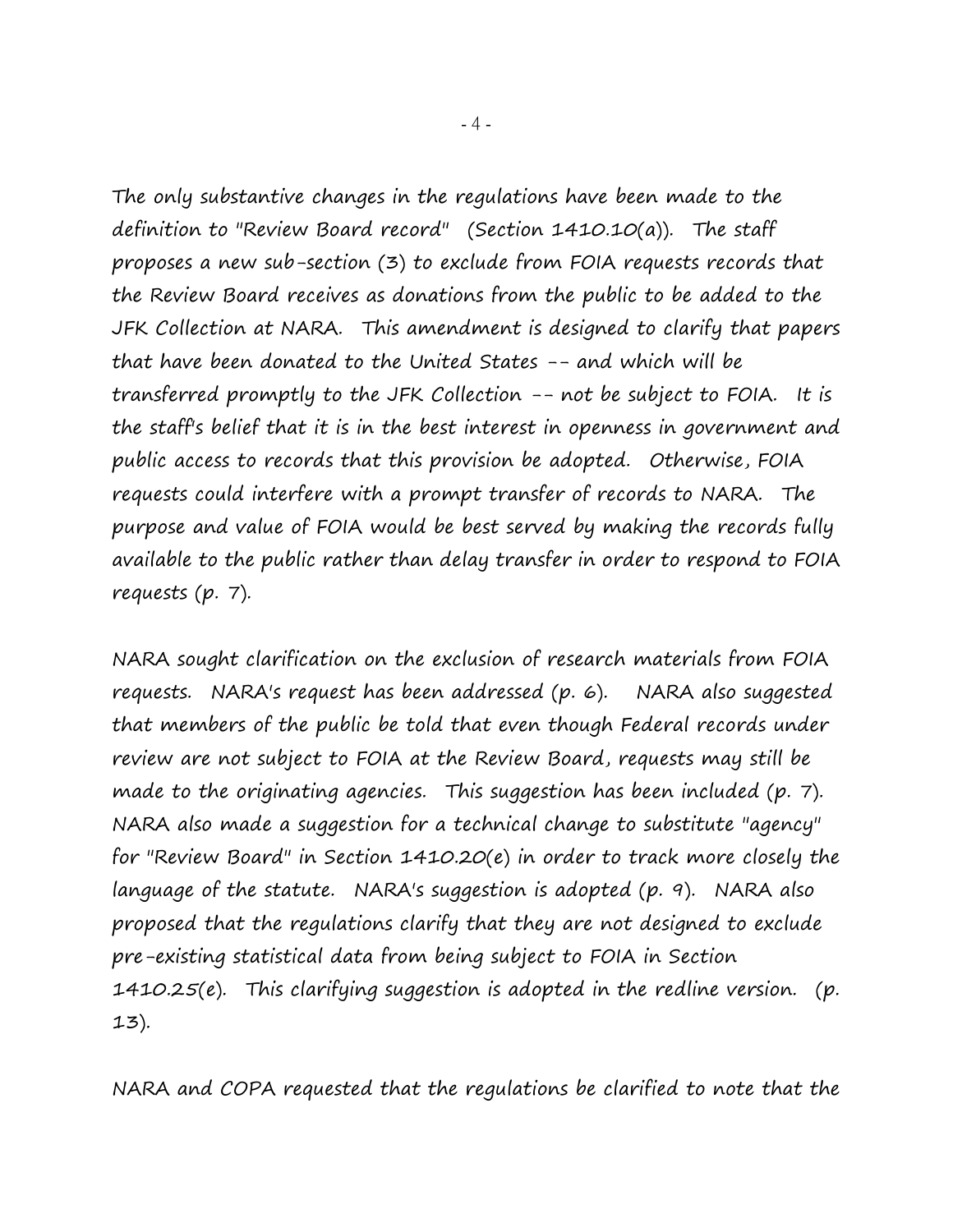The only substantive changes in the regulations have been made to the definition to "Review Board record" (Section 1410.10(a)). The staff proposes a new sub-section (3) to exclude from FOIA requests records that the Review Board receives as donations from the public to be added to the JFK Collection at NARA. This amendment is designed to clarify that papers that have been donated to the United States -- and which will be transferred promptly to the JFK Collection -- not be subject to FOIA. It is the staff's belief that it is in the best interest in openness in government and public access to records that this provision be adopted. Otherwise, FOIA requests could interfere with a prompt transfer of records to NARA. The purpose and value of FOIA would be best served by making the records fully available to the public rather than delay transfer in order to respond to FOIA requests (p. 7).

NARA sought clarification on the exclusion of research materials from FOIA requests. NARA's request has been addressed (p. 6). NARA also suggested that members of the public be told that even though Federal records under review are not subject to FOIA at the Review Board, requests may still be made to the originating agencies. This suggestion has been included (p. 7). NARA also made a suggestion for a technical change to substitute "agency" for "Review Board" in Section 1410.20(e) in order to track more closely the language of the statute. NARA's suggestion is adopted (p. 9). NARA also proposed that the regulations clarify that they are not designed to exclude pre-existing statistical data from being subject to FOIA in Section 1410.25(e). This clarifying suggestion is adopted in the redline version. (p. 13).

NARA and COPA requested that the regulations be clarified to note that the